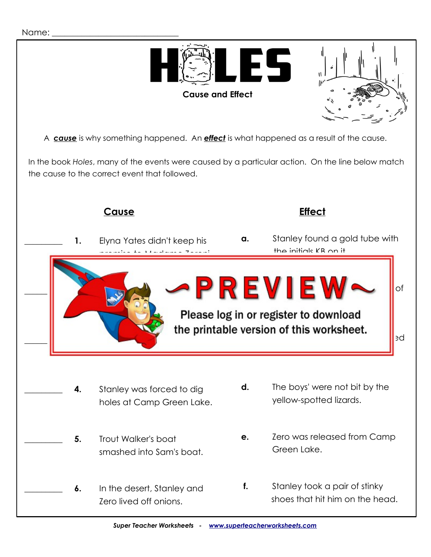